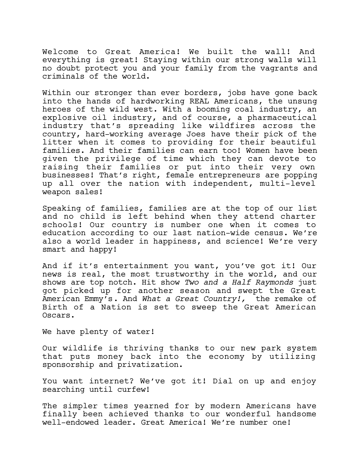Welcome to Great America! We built the wall! And everything is great! Staying within our strong walls will no doubt protect you and your family from the vagrants and criminals of the world.

Within our stronger than ever borders, jobs have gone back into the hands of hardworking REAL Americans, the unsung heroes of the wild west. With a booming coal industry, an explosive oil industry, and of course, a pharmaceutical industry that's spreading like wildfires across the country, hard-working average Joes have their pick of the litter when it comes to providing for their beautiful families. And their families can earn too! Women have been given the privilege of time which they can devote to raising their families or put into their very own businesses! That's right, female entrepreneurs are popping up all over the nation with independent, multi-level weapon sales!

Speaking of families, families are at the top of our list and no child is left behind when they attend charter schools! Our country is number one when it comes to education according to our last nation-wide census. We're also a world leader in happiness, and science! We're very smart and happy!

And if it's entertainment you want, you've got it! Our news is real, the most trustworthy in the world, and our shows are top notch. Hit show *Two and a Half Raymonds* just got picked up for another season and swept the Great American Emmy's. And *What a Great Country!,* the remake of Birth of a Nation is set to sweep the Great American Oscars.

We have plenty of water!

Our wildlife is thriving thanks to our new park system that puts money back into the economy by utilizing sponsorship and privatization.

You want internet? We've got it! Dial on up and enjoy searching until curfew!

The simpler times yearned for by modern Americans have finally been achieved thanks to our wonderful handsome well-endowed leader. Great America! We're number one!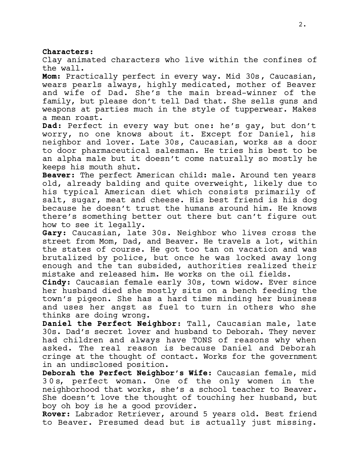### **Characters:**

Clay animated characters who live within the confines of

the wall. **Mom:** Practically perfect in every way. Mid 30s, Caucasian, wears pearls always, highly medicated, mother of Beaver and wife of Dad. She's the main bread-winner of the family, but please don't tell Dad that. She sells guns and weapons at parties much in the style of tupperwear. Makes a mean roast.

**Dad:** Perfect in every way but one: he's gay, but don't worry, no one knows about it. Except for Daniel, his neighbor and lover. Late 30s, Caucasian, works as a door to door pharmaceutical salesman. He tries his best to be an alpha male but it doesn't come naturally so mostly he keeps his mouth shut.

**Beaver:** The perfect American child: male. Around ten years old, already balding and quite overweight, likely due to his typical American diet which consists primarily of salt, sugar, meat and cheese. His best friend is his dog because he doesn't trust the humans around him. He knows there's something better out there but can't figure out how to see it legally.

**Gary:** Caucasian, late 30s. Neighbor who lives cross the street from Mom, Dad, and Beaver. He travels a lot, within the states of course. He got too tan on vacation and was brutalized by police, but once he was locked away long enough and the tan subsided, authorities realized their mistake and released him. He works on the oil fields.

**Cindy:** Caucasian female early 30s, town widow. Ever since her husband died she mostly sits on a bench feeding the town's pigeon. She has a hard time minding her business and uses her angst as fuel to turn in others who she thinks are doing wrong.

**Daniel the Perfect Neighbor:** Tall, Caucasian male, late 30s. Dad's secret lover and husband to Deborah. They never had children and always have TONS of reasons why when asked. The real reason is because Daniel and Deborah cringe at the thought of contact. Works for the government in an undisclosed position.

**Deborah the Perfect Neighbor's Wife:** Caucasian female, mid 30s, perfect woman. One of the only women in the neighborhood that works, she's a school teacher to Beaver. She doesn't love the thought of touching her husband, but boy oh boy is he a good provider.

**Rover:** Labrador Retriever, around 5 years old. Best friend to Beaver. Presumed dead but is actually just missing.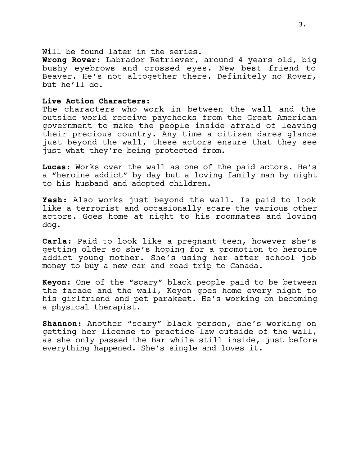Will be found later in the series.

**Wrong Rover:** Labrador Retriever, around 4 years old, big bushy eyebrows and crossed eyes. New best friend to Beaver. He's not altogether there. Definitely no Rover, but he'll do.

#### **Live Action Characters:**

The characters who work in between the wall and the outside world receive paychecks from the Great American government to make the people inside afraid of leaving their precious country. Any time a citizen dares glance just beyond the wall, these actors ensure that they see just what they're being protected from.

**Lucas:** Works over the wall as one of the paid actors. He's a "heroine addict" by day but a loving family man by night to his husband and adopted children.

**Yesh:** Also works just beyond the wall. Is paid to look like a terrorist and occasionally scare the various other actors. Goes home at night to his roommates and loving dog.

**Carla:** Paid to look like a pregnant teen, however she's getting older so she's hoping for a promotion to heroine addict young mother. She's using her after school job money to buy a new car and road trip to Canada.

**Keyon:** One of the "scary" black people paid to be between the facade and the wall, Keyon goes home every night to his girlfriend and pet parakeet. He's working on becoming a physical therapist.

**Shannon:** Another "scary" black person, she's working on getting her license to practice law outside of the wall, as she only passed the Bar while still inside, just before everything happened. She's single and loves it.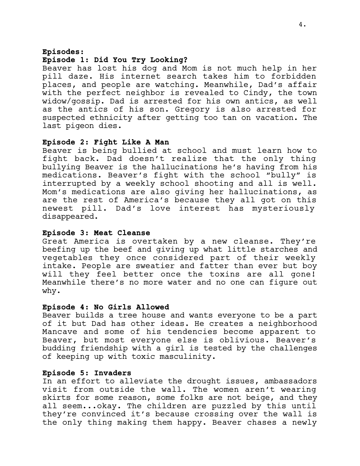## **Episodes:**

#### **Episode 1: Did You Try Looking?**

Beaver has lost his dog and Mom is not much help in her pill daze. His internet search takes him to forbidden places, and people are watching. Meanwhile, Dad's affair with the perfect neighbor is revealed to Cindy, the town widow/gossip. Dad is arrested for his own antics, as well as the antics of his son. Gregory is also arrested for suspected ethnicity after getting too tan on vacation. The last pigeon dies.

## **Episode 2: Fight Like A Man**

Beaver is being bullied at school and must learn how to fight back. Dad doesn't realize that the only thing bullying Beaver is the hallucinations he's having from his medications. Beaver's fight with the school "bully" is interrupted by a weekly school shooting and all is well. Mom's medications are also giving her hallucinations, as are the rest of America's because they all got on this newest pill. Dad's love interest has mysteriously disappeared.

### **Episode 3: Meat Cleanse**

Great America is overtaken by a new cleanse. They're beefing up the beef and giving up what little starches and vegetables they once considered part of their weekly intake. People are sweatier and fatter than ever but boy will they feel better once the toxins are all gone! Meanwhile there's no more water and no one can figure out why.

#### **Episode 4: No Girls Allowed**

Beaver builds a tree house and wants everyone to be a part of it but Dad has other ideas. He creates a neighborhood Mancave and some of his tendencies become apparent to Beaver, but most everyone else is oblivious. Beaver's budding friendship with a girl is tested by the challenges of keeping up with toxic masculinity.

## **Episode 5: Invaders**

In an effort to alleviate the drought issues, ambassadors visit from outside the wall. The women aren't wearing skirts for some reason, some folks are not beige, and they all seem...okay. The children are puzzled by this until they're convinced it's because crossing over the wall is the only thing making them happy. Beaver chases a newly